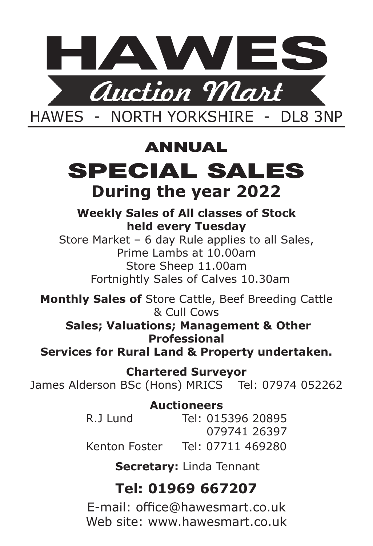

## ANNUAL

# SPECIAL SALES **During the year 2022**

## **Weekly Sales of All classes of Stock held every Tuesday**

Store Market – 6 day Rule applies to all Sales, Prime Lambs at 10.00am Store Sheep 11.00am Fortnightly Sales of Calves 10.30am

**Monthly Sales of** Store Cattle, Beef Breeding Cattle & Cull Cows

**Sales; Valuations; Management & Other Professional** 

**Services for Rural Land & Property undertaken.**

**Chartered Surveyor** James Alderson BSc (Hons) MRICS Tel: 07974 052262

> **Auctioneers** R.J Lund Tel: 015396 20895 079741 26397 Kenton Foster Tel: 07711 469280

> > **Secretary:** Linda Tennant

## **Tel: 01969 667207**

E-mail: office@hawesmart.co.uk Web site: www.hawesmart.co.uk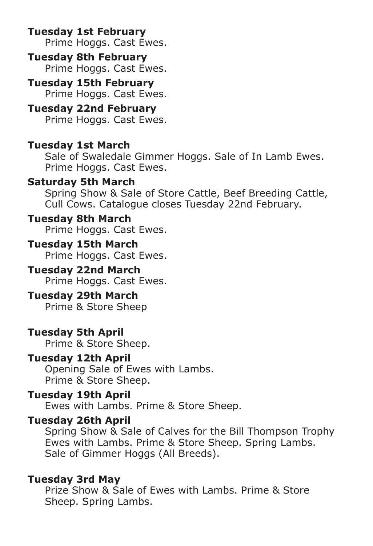**Tuesday 1st February**  Prime Hoggs. Cast Ewes.

## **Tuesday 8th February**

Prime Hoggs. Cast Ewes.

**Tuesday 15th February**  Prime Hoggs. Cast Ewes.

## **Tuesday 22nd February**

Prime Hoggs. Cast Ewes.

## **Tuesday 1st March**

Sale of Swaledale Gimmer Hoggs. Sale of In Lamb Ewes. Prime Hoggs. Cast Ewes.

### **Saturday 5th March**

Spring Show & Sale of Store Cattle, Beef Breeding Cattle, Cull Cows. Catalogue closes Tuesday 22nd February.

## **Tuesday 8th March**

Prime Hoggs. Cast Ewes.

#### **Tuesday 15th March**  Prime Hoggs. Cast Ewes.

#### **Tuesday 22nd March**  Prime Hoggs. Cast Ewes.

#### **Tuesday 29th March**  Prime & Store Sheep

**Tuesday 5th April**  Prime & Store Sheep.

## **Tuesday 12th April**

Opening Sale of Ewes with Lambs. Prime & Store Sheep.

## **Tuesday 19th April**

Ewes with Lambs. Prime & Store Sheep.

## **Tuesday 26th April**

Spring Show & Sale of Calves for the Bill Thompson Trophy Ewes with Lambs. Prime & Store Sheep. Spring Lambs. Sale of Gimmer Hoggs (All Breeds).

#### **Tuesday 3rd May**

Prize Show & Sale of Ewes with Lambs. Prime & Store Sheep. Spring Lambs.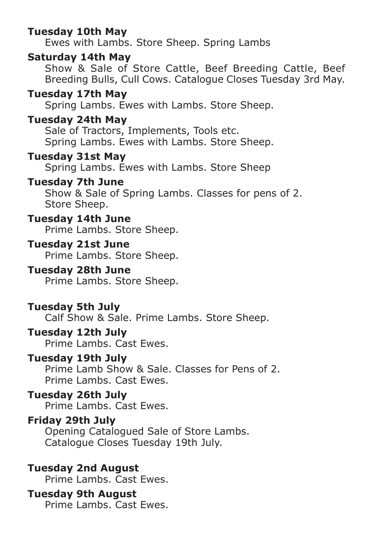### **Tuesday 10th May**

Ewes with Lambs. Store Sheep. Spring Lambs

## **Saturday 14th May**

Show & Sale of Store Cattle, Beef Breeding Cattle, Beef Breeding Bulls, Cull Cows. Catalogue Closes Tuesday 3rd May.

#### **Tuesday 17th May**

Spring Lambs. Ewes with Lambs. Store Sheep.

#### **Tuesday 24th May**

Sale of Tractors, Implements, Tools etc. Spring Lambs. Ewes with Lambs. Store Sheep.

## **Tuesday 31st May**

Spring Lambs. Ewes with Lambs. Store Sheep

#### **Tuesday 7th June**

Show & Sale of Spring Lambs. Classes for pens of 2. Store Sheep.

## **Tuesday 14th June**

Prime Lambs. Store Sheep.

#### **Tuesday 21st June**

Prime Lambs. Store Sheep.

#### **Tuesday 28th June**

Prime Lambs. Store Sheep.

#### **Tuesday 5th July**

Calf Show & Sale. Prime Lambs. Store Sheep.

#### **Tuesday 12th July**

Prime Lambs. Cast Ewes.

#### **Tuesday 19th July**

Prime Lamb Show & Sale. Classes for Pens of 2. Prime Lambs. Cast Ewes.

#### **Tuesday 26th July**

Prime Lambs. Cast Ewes.

## **Friday 29th July**

Opening Catalogued Sale of Store Lambs. Catalogue Closes Tuesday 19th July.

#### **Tuesday 2nd August**

Prime Lambs. Cast Ewes.

## **Tuesday 9th August**

Prime Lambs. Cast Ewes.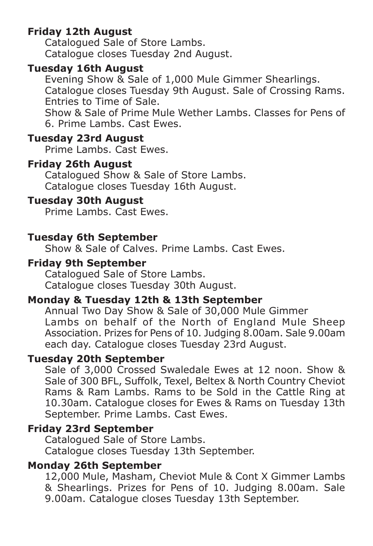## **Friday 12th August**

Catalogued Sale of Store Lambs. Catalogue closes Tuesday 2nd August.

#### **Tuesday 16th August**

Evening Show & Sale of 1,000 Mule Gimmer Shearlings. Catalogue closes Tuesday 9th August. Sale of Crossing Rams. Entries to Time of Sale.

Show & Sale of Prime Mule Wether Lambs. Classes for Pens of 6. Prime Lambs. Cast Ewes.

#### **Tuesday 23rd August**

Prime Lambs. Cast Ewes.

#### **Friday 26th August**

Catalogued Show & Sale of Store Lambs. Catalogue closes Tuesday 16th August.

## **Tuesday 30th August**

Prime Lambs. Cast Ewes.

#### **Tuesday 6th September**

Show & Sale of Calves. Prime Lambs. Cast Ewes.

#### **Friday 9th September**

Catalogued Sale of Store Lambs. Catalogue closes Tuesday 30th August.

## **Monday & Tuesday 12th & 13th September**

Annual Two Day Show & Sale of 30,000 Mule Gimmer Lambs on behalf of the North of England Mule Sheep Association. Prizes for Pens of 10. Judging 8.00am. Sale 9.00am each day. Catalogue closes Tuesday 23rd August.

## **Tuesday 20th September**

Sale of 3,000 Crossed Swaledale Ewes at 12 noon. Show & Sale of 300 BFL, Suffolk, Texel, Beltex & North Country Cheviot Rams & Ram Lambs. Rams to be Sold in the Cattle Ring at 10.30am. Catalogue closes for Ewes & Rams on Tuesday 13th September. Prime Lambs. Cast Ewes.

## **Friday 23rd September**

Catalogued Sale of Store Lambs. Catalogue closes Tuesday 13th September.

#### **Monday 26th September**

12,000 Mule, Masham, Cheviot Mule & Cont X Gimmer Lambs & Shearlings. Prizes for Pens of 10. Judging 8.00am. Sale 9.00am. Catalogue closes Tuesday 13th September.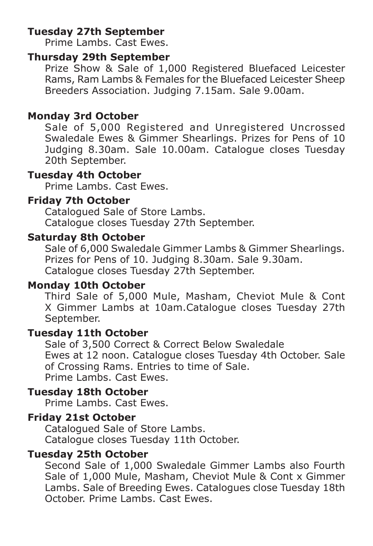## **Tuesday 27th September**

Prime Lambs. Cast Ewes.

#### **Thursday 29th September**

Prize Show & Sale of 1,000 Registered Bluefaced Leicester Rams, Ram Lambs & Females for the Bluefaced Leicester Sheep Breeders Association. Judging 7.15am. Sale 9.00am.

## **Monday 3rd October**

Sale of 5,000 Registered and Unregistered Uncrossed Swaledale Ewes & Gimmer Shearlings. Prizes for Pens of 10 Judging 8.30am. Sale 10.00am. Catalogue closes Tuesday 20th September.

## **Tuesday 4th October**

Prime Lambs. Cast Ewes.

#### **Friday 7th October**

Catalogued Sale of Store Lambs. Catalogue closes Tuesday 27th September.

#### **Saturday 8th October**

Sale of 6,000 Swaledale Gimmer Lambs & Gimmer Shearlings. Prizes for Pens of 10. Judging 8.30am. Sale 9.30am. Catalogue closes Tuesday 27th September.

## **Monday 10th October**

Third Sale of 5,000 Mule, Masham, Cheviot Mule & Cont X Gimmer Lambs at 10am.Catalogue closes Tuesday 27th September.

#### **Tuesday 11th October**

Sale of 3,500 Correct & Correct Below Swaledale Ewes at 12 noon. Catalogue closes Tuesday 4th October. Sale of Crossing Rams. Entries to time of Sale. Prime Lambs. Cast Ewes.

## **Tuesday 18th October**

Prime Lambs. Cast Ewes.

## **Friday 21st October**

Catalogued Sale of Store Lambs. Catalogue closes Tuesday 11th October.

#### **Tuesday 25th October**

Second Sale of 1,000 Swaledale Gimmer Lambs also Fourth Sale of 1,000 Mule, Masham, Cheviot Mule & Cont x Gimmer Lambs. Sale of Breeding Ewes. Catalogues close Tuesday 18th October. Prime Lambs. Cast Ewes.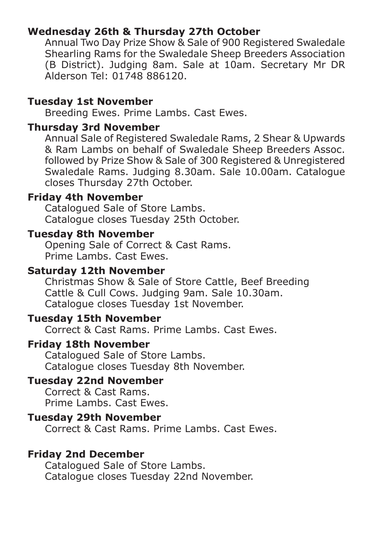## **Wednesday 26th & Thursday 27th October**

Annual Two Day Prize Show & Sale of 900 Registered Swaledale Shearling Rams for the Swaledale Sheep Breeders Association (B District). Judging 8am. Sale at 10am. Secretary Mr DR Alderson Tel: 01748 886120.

#### **Tuesday 1st November**

Breeding Ewes. Prime Lambs. Cast Ewes.

#### **Thursday 3rd November**

Annual Sale of Registered Swaledale Rams, 2 Shear & Upwards & Ram Lambs on behalf of Swaledale Sheep Breeders Assoc. followed by Prize Show & Sale of 300 Registered & Unregistered Swaledale Rams. Judging 8.30am. Sale 10.00am. Catalogue closes Thursday 27th October.

## **Friday 4th November**

Catalogued Sale of Store Lambs. Catalogue closes Tuesday 25th October.

#### **Tuesday 8th November**

Opening Sale of Correct & Cast Rams. Prime Lambs. Cast Ewes.

## **Saturday 12th November**

Christmas Show & Sale of Store Cattle, Beef Breeding Cattle & Cull Cows. Judging 9am. Sale 10.30am. Catalogue closes Tuesday 1st November.

## **Tuesday 15th November**

Correct & Cast Rams. Prime Lambs. Cast Ewes.

#### **Friday 18th November**

Catalogued Sale of Store Lambs. Catalogue closes Tuesday 8th November.

## **Tuesday 22nd November**

Correct & Cast Rams. Prime Lambs. Cast Ewes.

## **Tuesday 29th November**

Correct & Cast Rams. Prime Lambs. Cast Ewes.

#### **Friday 2nd December**

Catalogued Sale of Store Lambs. Catalogue closes Tuesday 22nd November.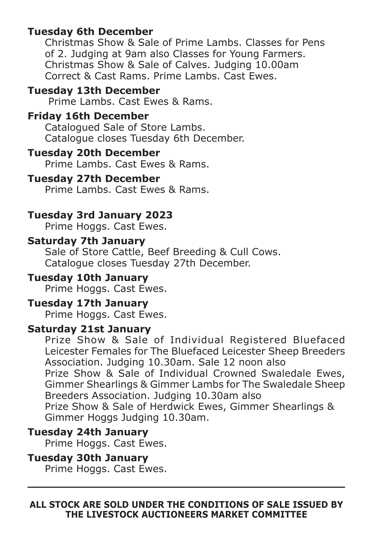## **Tuesday 6th December**

Christmas Show & Sale of Prime Lambs. Classes for Pens of 2. Judging at 9am also Classes for Young Farmers. Christmas Show & Sale of Calves. Judging 10.00am Correct & Cast Rams. Prime Lambs. Cast Ewes.

#### **Tuesday 13th December**

Prime Lambs. Cast Ewes & Rams.

## **Friday 16th December**

Catalogued Sale of Store Lambs. Catalogue closes Tuesday 6th December.

## **Tuesday 20th December**

Prime Lambs. Cast Ewes & Rams.

#### **Tuesday 27th December**

Prime Lambs. Cast Ewes & Rams.

## **Tuesday 3rd January 2023**

Prime Hoggs. Cast Ewes.

#### **Saturday 7th January**

Sale of Store Cattle, Beef Breeding & Cull Cows. Catalogue closes Tuesday 27th December.

## **Tuesday 10th January**

Prime Hoggs. Cast Ewes.

## **Tuesday 17th January**

Prime Hoggs. Cast Ewes.

#### **Saturday 21st January**

Prize Show & Sale of Individual Registered Bluefaced Leicester Females for The Bluefaced Leicester Sheep Breeders Association. Judging 10.30am. Sale 12 noon also

Prize Show & Sale of Individual Crowned Swaledale Ewes, Gimmer Shearlings & Gimmer Lambs for The Swaledale Sheep Breeders Association. Judging 10.30am also

Prize Show & Sale of Herdwick Ewes, Gimmer Shearlings & Gimmer Hoggs Judging 10.30am.

## **Tuesday 24th January**

Prime Hoggs. Cast Ewes.

#### **Tuesday 30th January**

Prime Hoggs. Cast Ewes.

#### **ALL STOCK ARE SOLD UNDER THE CONDITIONS OF SALE ISSUED BY THE LIVESTOCK AUCTIONEERS MARKET COMMITTEE**